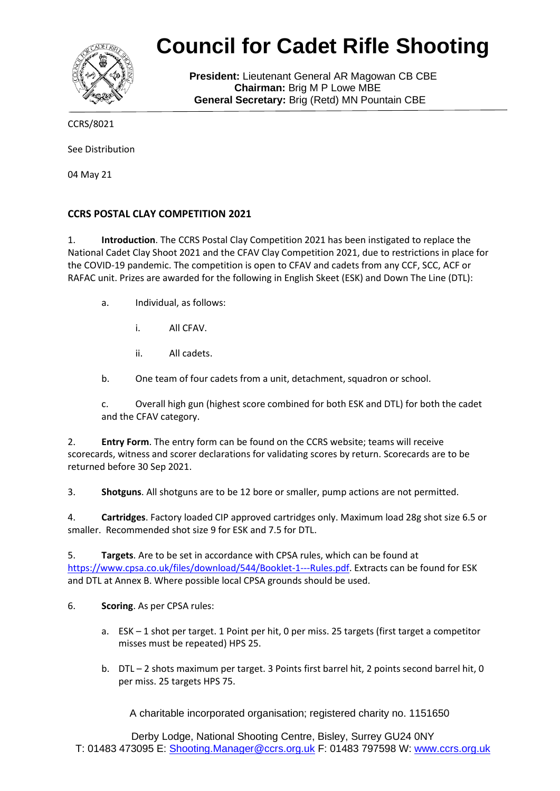

# **Council for Cadet Rifle Shooting**

 **President:** Lieutenant General AR Magowan CB CBE  **Chairman:** Brig M P Lowe MBE  **General Secretary:** Brig (Retd) MN Pountain CBE

CCRS/8021

See Distribution

04 May 21

# **CCRS POSTAL CLAY COMPETITION 2021**

1. **Introduction**. The CCRS Postal Clay Competition 2021 has been instigated to replace the National Cadet Clay Shoot 2021 and the CFAV Clay Competition 2021, due to restrictions in place for the COVID-19 pandemic. The competition is open to CFAV and cadets from any CCF, SCC, ACF or RAFAC unit. Prizes are awarded for the following in English Skeet (ESK) and Down The Line (DTL):

- a. Individual, as follows:
	- i. All CFAV.
	- ii. All cadets.
- b. One team of four cadets from a unit, detachment, squadron or school.

c. Overall high gun (highest score combined for both ESK and DTL) for both the cadet and the CFAV category.

2. **Entry Form**. The entry form can be found on the CCRS website; teams will receive scorecards, witness and scorer declarations for validating scores by return. Scorecards are to be returned before 30 Sep 2021.

3. **Shotguns**. All shotguns are to be 12 bore or smaller, pump actions are not permitted.

4. **Cartridges**. Factory loaded CIP approved cartridges only. Maximum load 28g shot size 6.5 or smaller. Recommended shot size 9 for ESK and 7.5 for DTL.

5. **Targets**. Are to be set in accordance with CPSA rules, which can be found at [https://www.cpsa.co.uk/files/download/544/Booklet-1---Rules.pdf.](https://www.cpsa.co.uk/files/download/544/Booklet-1---Rules.pdf) Extracts can be found for ESK and DTL at Annex B. Where possible local CPSA grounds should be used.

6. **Scoring**. As per CPSA rules:

- a. ESK 1 shot per target. 1 Point per hit, 0 per miss. 25 targets (first target a competitor misses must be repeated) HPS 25.
- b. DTL 2 shots maximum per target. 3 Points first barrel hit, 2 points second barrel hit, 0 per miss. 25 targets HPS 75.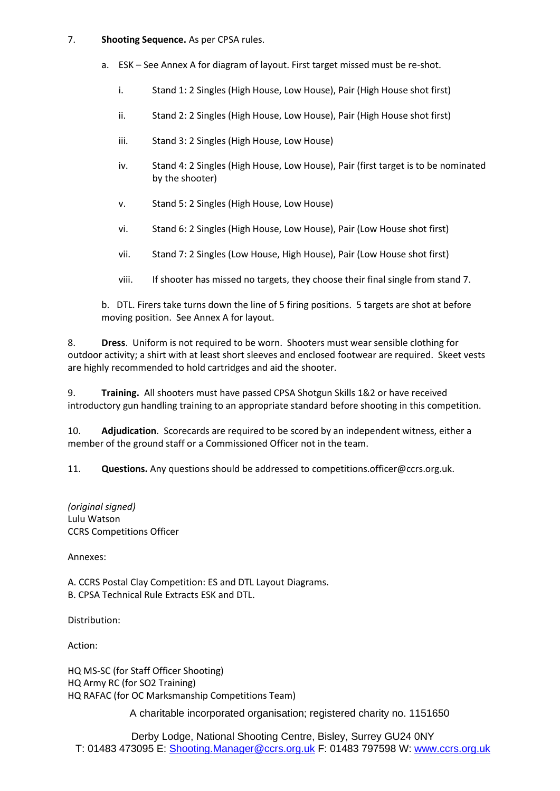## 7. **Shooting Sequence.** As per CPSA rules.

- a. ESK See Annex A for diagram of layout. First target missed must be re-shot.
	- i. Stand 1: 2 Singles (High House, Low House), Pair (High House shot first)
	- ii. Stand 2: 2 Singles (High House, Low House), Pair (High House shot first)
	- iii. Stand 3: 2 Singles (High House, Low House)
	- iv. Stand 4: 2 Singles (High House, Low House), Pair (first target is to be nominated by the shooter)
	- v. Stand 5: 2 Singles (High House, Low House)
	- vi. Stand 6: 2 Singles (High House, Low House), Pair (Low House shot first)
	- vii. Stand 7: 2 Singles (Low House, High House), Pair (Low House shot first)
	- viii. If shooter has missed no targets, they choose their final single from stand 7.

b. DTL. Firers take turns down the line of 5 firing positions. 5 targets are shot at before moving position. See Annex A for layout.

8. **Dress**. Uniform is not required to be worn. Shooters must wear sensible clothing for outdoor activity; a shirt with at least short sleeves and enclosed footwear are required. Skeet vests are highly recommended to hold cartridges and aid the shooter.

9. **Training.** All shooters must have passed CPSA Shotgun Skills 1&2 or have received introductory gun handling training to an appropriate standard before shooting in this competition.

10. **Adjudication**. Scorecards are required to be scored by an independent witness, either a member of the ground staff or a Commissioned Officer not in the team.

11. **Questions.** Any questions should be addressed to competitions.officer@ccrs.org.uk.

*(original signed)* Lulu Watson CCRS Competitions Officer

Annexes:

A. CCRS Postal Clay Competition: ES and DTL Layout Diagrams. B. CPSA Technical Rule Extracts ESK and DTL.

Distribution:

Action:

HQ MS-SC (for Staff Officer Shooting) HQ Army RC (for SO2 Training) HQ RAFAC (for OC Marksmanship Competitions Team)

A charitable incorporated organisation; registered charity no. 1151650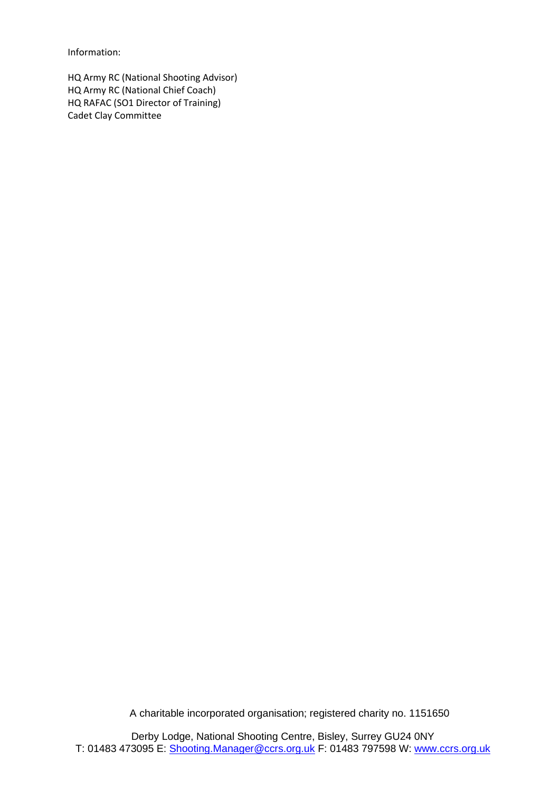Information:

HQ Army RC (National Shooting Advisor) HQ Army RC (National Chief Coach) HQ RAFAC (SO1 Director of Training) Cadet Clay Committee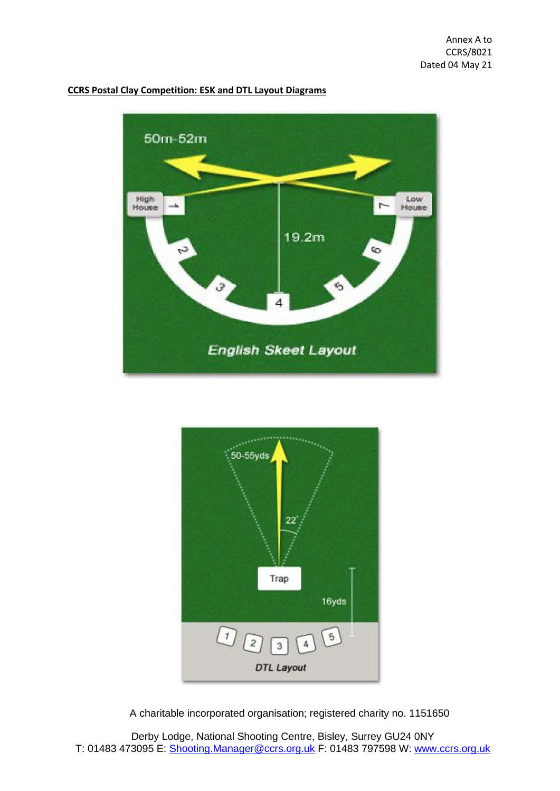

**CCRS Postal Clay Competition: ESK and DTL Layout Diagrams**

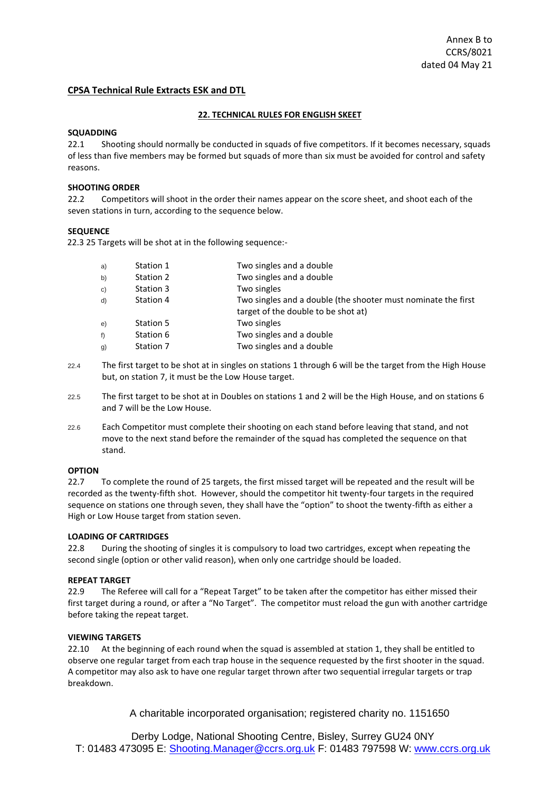## **CPSA Technical Rule Extracts ESK and DTL**

#### **22. TECHNICAL RULES FOR ENGLISH SKEET**

## **SQUADDING**

22.1 Shooting should normally be conducted in squads of five competitors. If it becomes necessary, squads of less than five members may be formed but squads of more than six must be avoided for control and safety reasons.

## **SHOOTING ORDER**

22.2 Competitors will shoot in the order their names appear on the score sheet, and shoot each of the seven stations in turn, according to the sequence below.

## **SEQUENCE**

22.3 25 Targets will be shot at in the following sequence:-

| a) | Station 1 | Two singles and a double                                      |  |
|----|-----------|---------------------------------------------------------------|--|
| b) | Station 2 | Two singles and a double                                      |  |
| c) | Station 3 | Two singles                                                   |  |
| d) | Station 4 | Two singles and a double (the shooter must nominate the first |  |
|    |           | target of the double to be shot at)                           |  |
| e) | Station 5 | Two singles                                                   |  |
| f) | Station 6 | Two singles and a double                                      |  |
| g) | Station 7 | Two singles and a double                                      |  |
|    |           |                                                               |  |

- 22.4 The first target to be shot at in singles on stations 1 through 6 will be the target from the High House but, on station 7, it must be the Low House target.
- 22.5 The first target to be shot at in Doubles on stations 1 and 2 will be the High House, and on stations 6 and 7 will be the Low House.
- 22.6 Each Competitor must complete their shooting on each stand before leaving that stand, and not move to the next stand before the remainder of the squad has completed the sequence on that stand.

## **OPTION**

22.7 To complete the round of 25 targets, the first missed target will be repeated and the result will be recorded as the twenty-fifth shot. However, should the competitor hit twenty-four targets in the required sequence on stations one through seven, they shall have the "option" to shoot the twenty-fifth as either a High or Low House target from station seven.

#### **LOADING OF CARTRIDGES**

22.8 During the shooting of singles it is compulsory to load two cartridges, except when repeating the second single (option or other valid reason), when only one cartridge should be loaded.

#### **REPEAT TARGET**

22.9 The Referee will call for a "Repeat Target" to be taken after the competitor has either missed their first target during a round, or after a "No Target". The competitor must reload the gun with another cartridge before taking the repeat target.

#### **VIEWING TARGETS**

22.10 At the beginning of each round when the squad is assembled at station 1, they shall be entitled to observe one regular target from each trap house in the sequence requested by the first shooter in the squad. A competitor may also ask to have one regular target thrown after two sequential irregular targets or trap breakdown.

A charitable incorporated organisation; registered charity no. 1151650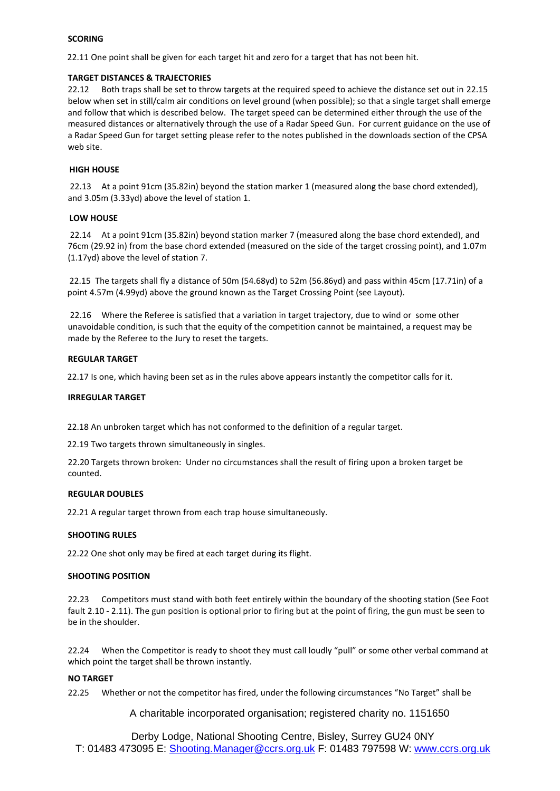#### **SCORING**

22.11 One point shall be given for each target hit and zero for a target that has not been hit.

#### **TARGET DISTANCES & TRAJECTORIES**

22.12 Both traps shall be set to throw targets at the required speed to achieve the distance set out in 22.15 below when set in still/calm air conditions on level ground (when possible); so that a single target shall emerge and follow that which is described below. The target speed can be determined either through the use of the measured distances or alternatively through the use of a Radar Speed Gun. For current guidance on the use of a Radar Speed Gun for target setting please refer to the notes published in the downloads section of the CPSA web site.

#### **HIGH HOUSE**

22.13 At a point 91cm (35.82in) beyond the station marker 1 (measured along the base chord extended), and 3.05m (3.33yd) above the level of station 1.

#### **LOW HOUSE**

22.14 At a point 91cm (35.82in) beyond station marker 7 (measured along the base chord extended), and 76cm (29.92 in) from the base chord extended (measured on the side of the target crossing point), and 1.07m (1.17yd) above the level of station 7.

22.15 The targets shall fly a distance of 50m (54.68yd) to 52m (56.86yd) and pass within 45cm (17.71in) of a point 4.57m (4.99yd) above the ground known as the Target Crossing Point (see Layout).

22.16 Where the Referee is satisfied that a variation in target trajectory, due to wind or some other unavoidable condition, is such that the equity of the competition cannot be maintained, a request may be made by the Referee to the Jury to reset the targets.

#### **REGULAR TARGET**

22.17 Is one, which having been set as in the rules above appears instantly the competitor calls for it.

#### **IRREGULAR TARGET**

22.18 An unbroken target which has not conformed to the definition of a regular target.

22.19 Two targets thrown simultaneously in singles.

22.20 Targets thrown broken: Under no circumstances shall the result of firing upon a broken target be counted.

#### **REGULAR DOUBLES**

22.21 A regular target thrown from each trap house simultaneously.

#### **SHOOTING RULES**

22.22 One shot only may be fired at each target during its flight.

#### **SHOOTING POSITION**

22.23 Competitors must stand with both feet entirely within the boundary of the shooting station (See Foot fault 2.10 - 2.11). The gun position is optional prior to firing but at the point of firing, the gun must be seen to be in the shoulder.

22.24 When the Competitor is ready to shoot they must call loudly "pull" or some other verbal command at which point the target shall be thrown instantly.

#### **NO TARGET**

22.25 Whether or not the competitor has fired, under the following circumstances "No Target" shall be

A charitable incorporated organisation; registered charity no. 1151650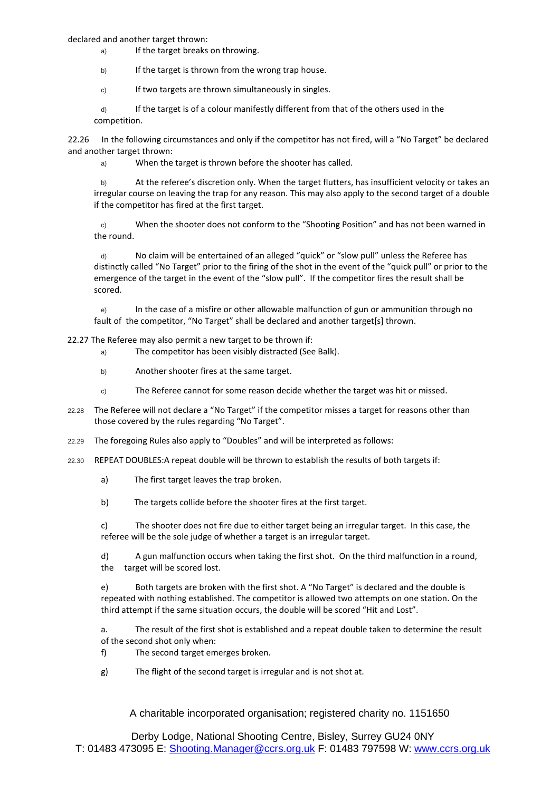declared and another target thrown:

a) If the target breaks on throwing.

b) If the target is thrown from the wrong trap house.

c) If two targets are thrown simultaneously in singles.

d) If the target is of a colour manifestly different from that of the others used in the competition.

22.26 In the following circumstances and only if the competitor has not fired, will a "No Target" be declared and another target thrown:

a) When the target is thrown before the shooter has called.

b) At the referee's discretion only. When the target flutters, has insufficient velocity or takes an irregular course on leaving the trap for any reason. This may also apply to the second target of a double if the competitor has fired at the first target.

c) When the shooter does not conform to the "Shooting Position" and has not been warned in the round.

d) No claim will be entertained of an alleged "quick" or "slow pull" unless the Referee has distinctly called "No Target" prior to the firing of the shot in the event of the "quick pull" or prior to the emergence of the target in the event of the "slow pull". If the competitor fires the result shall be scored.

e) In the case of a misfire or other allowable malfunction of gun or ammunition through no fault of the competitor, "No Target" shall be declared and another target[s] thrown.

22.27 The Referee may also permit a new target to be thrown if:

- a) The competitor has been visibly distracted (See Balk).
- b) Another shooter fires at the same target.
- c) The Referee cannot for some reason decide whether the target was hit or missed.
- 22.28 The Referee will not declare a "No Target" if the competitor misses a target for reasons other than those covered by the rules regarding "No Target".
- 22.29 The foregoing Rules also apply to "Doubles" and will be interpreted as follows:
- 22.30 REPEAT DOUBLES:A repeat double will be thrown to establish the results of both targets if:
	- a) The first target leaves the trap broken.
	- b) The targets collide before the shooter fires at the first target.

c) The shooter does not fire due to either target being an irregular target. In this case, the referee will be the sole judge of whether a target is an irregular target.

d) A gun malfunction occurs when taking the first shot. On the third malfunction in a round, the target will be scored lost.

e) Both targets are broken with the first shot. A "No Target" is declared and the double is repeated with nothing established. The competitor is allowed two attempts on one station. On the third attempt if the same situation occurs, the double will be scored "Hit and Lost".

a. The result of the first shot is established and a repeat double taken to determine the result of the second shot only when:

- f) The second target emerges broken.
- g) The flight of the second target is irregular and is not shot at.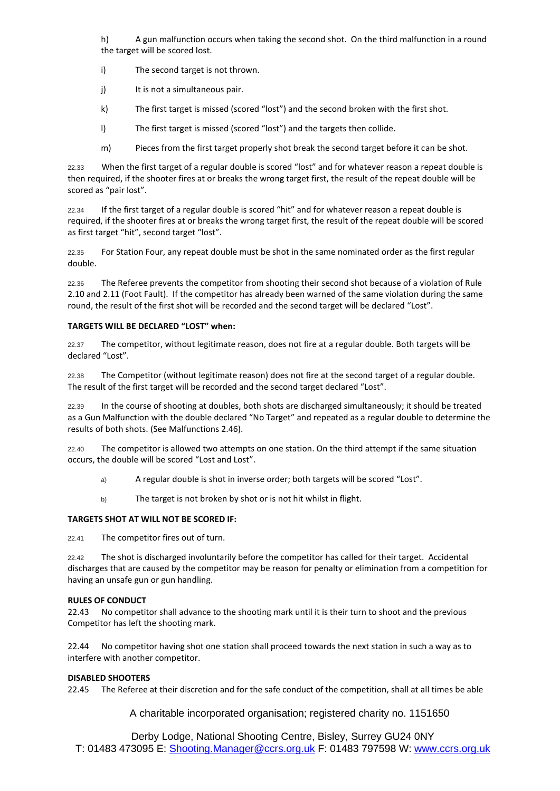h) A gun malfunction occurs when taking the second shot. On the third malfunction in a round the target will be scored lost.

- i) The second target is not thrown.
- j) It is not a simultaneous pair.
- k) The first target is missed (scored "lost") and the second broken with the first shot.
- l) The first target is missed (scored "lost") and the targets then collide.
- m) Pieces from the first target properly shot break the second target before it can be shot.

22.33 When the first target of a regular double is scored "lost" and for whatever reason a repeat double is then required, if the shooter fires at or breaks the wrong target first, the result of the repeat double will be scored as "pair lost".

22.34 If the first target of a regular double is scored "hit" and for whatever reason a repeat double is required, if the shooter fires at or breaks the wrong target first, the result of the repeat double will be scored as first target "hit", second target "lost".

22.35 For Station Four, any repeat double must be shot in the same nominated order as the first regular double.

22.36 The Referee prevents the competitor from shooting their second shot because of a violation of Rule 2.10 and 2.11 (Foot Fault). If the competitor has already been warned of the same violation during the same round, the result of the first shot will be recorded and the second target will be declared "Lost".

#### **TARGETS WILL BE DECLARED "LOST" when:**

22.37 The competitor, without legitimate reason, does not fire at a regular double. Both targets will be declared "Lost".

22.38 The Competitor (without legitimate reason) does not fire at the second target of a regular double. The result of the first target will be recorded and the second target declared "Lost".

22.39 In the course of shooting at doubles, both shots are discharged simultaneously; it should be treated as a Gun Malfunction with the double declared "No Target" and repeated as a regular double to determine the results of both shots. (See Malfunctions 2.46).

22.40 The competitor is allowed two attempts on one station. On the third attempt if the same situation occurs, the double will be scored "Lost and Lost".

- a) A regular double is shot in inverse order; both targets will be scored "Lost".
- b) The target is not broken by shot or is not hit whilst in flight.

#### **TARGETS SHOT AT WILL NOT BE SCORED IF:**

22.41 The competitor fires out of turn.

22.42 The shot is discharged involuntarily before the competitor has called for their target. Accidental discharges that are caused by the competitor may be reason for penalty or elimination from a competition for having an unsafe gun or gun handling.

#### **RULES OF CONDUCT**

22.43 No competitor shall advance to the shooting mark until it is their turn to shoot and the previous Competitor has left the shooting mark.

22.44 No competitor having shot one station shall proceed towards the next station in such a way as to interfere with another competitor.

#### **DISABLED SHOOTERS**

22.45 The Referee at their discretion and for the safe conduct of the competition, shall at all times be able

A charitable incorporated organisation; registered charity no. 1151650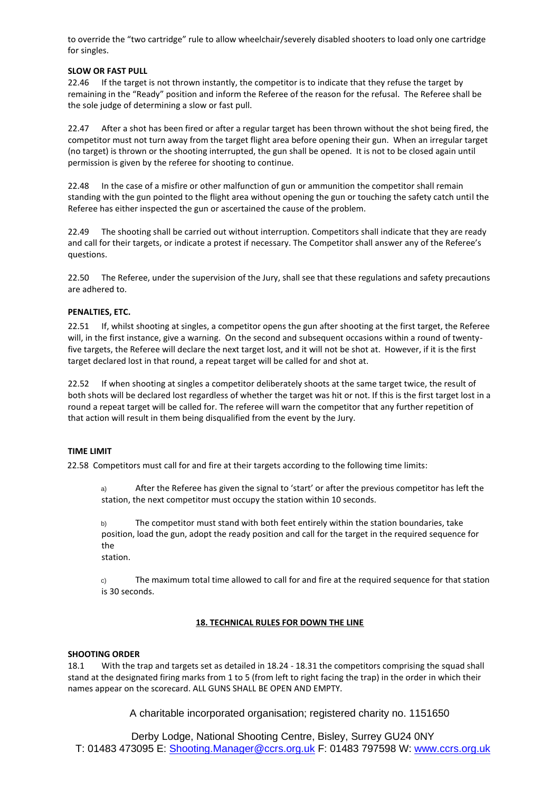to override the "two cartridge" rule to allow wheelchair/severely disabled shooters to load only one cartridge for singles.

## **SLOW OR FAST PULL**

22.46 If the target is not thrown instantly, the competitor is to indicate that they refuse the target by remaining in the "Ready" position and inform the Referee of the reason for the refusal. The Referee shall be the sole judge of determining a slow or fast pull.

22.47 After a shot has been fired or after a regular target has been thrown without the shot being fired, the competitor must not turn away from the target flight area before opening their gun. When an irregular target (no target) is thrown or the shooting interrupted, the gun shall be opened. It is not to be closed again until permission is given by the referee for shooting to continue.

22.48 In the case of a misfire or other malfunction of gun or ammunition the competitor shall remain standing with the gun pointed to the flight area without opening the gun or touching the safety catch until the Referee has either inspected the gun or ascertained the cause of the problem.

22.49 The shooting shall be carried out without interruption. Competitors shall indicate that they are ready and call for their targets, or indicate a protest if necessary. The Competitor shall answer any of the Referee's questions.

22.50 The Referee, under the supervision of the Jury, shall see that these regulations and safety precautions are adhered to.

## **PENALTIES, ETC.**

22.51 If, whilst shooting at singles, a competitor opens the gun after shooting at the first target, the Referee will, in the first instance, give a warning. On the second and subsequent occasions within a round of twentyfive targets, the Referee will declare the next target lost, and it will not be shot at. However, if it is the first target declared lost in that round, a repeat target will be called for and shot at.

22.52 If when shooting at singles a competitor deliberately shoots at the same target twice, the result of both shots will be declared lost regardless of whether the target was hit or not. If this is the first target lost in a round a repeat target will be called for. The referee will warn the competitor that any further repetition of that action will result in them being disqualified from the event by the Jury.

#### **TIME LIMIT**

22.58 Competitors must call for and fire at their targets according to the following time limits:

a) After the Referee has given the signal to 'start' or after the previous competitor has left the station, the next competitor must occupy the station within 10 seconds.

b) The competitor must stand with both feet entirely within the station boundaries, take position, load the gun, adopt the ready position and call for the target in the required sequence for the

station.

c) The maximum total time allowed to call for and fire at the required sequence for that station is 30 seconds.

#### **18. TECHNICAL RULES FOR DOWN THE LINE**

#### **SHOOTING ORDER**

18.1 With the trap and targets set as detailed in 18.24 - 18.31 the competitors comprising the squad shall stand at the designated firing marks from 1 to 5 (from left to right facing the trap) in the order in which their names appear on the scorecard. ALL GUNS SHALL BE OPEN AND EMPTY.

A charitable incorporated organisation; registered charity no. 1151650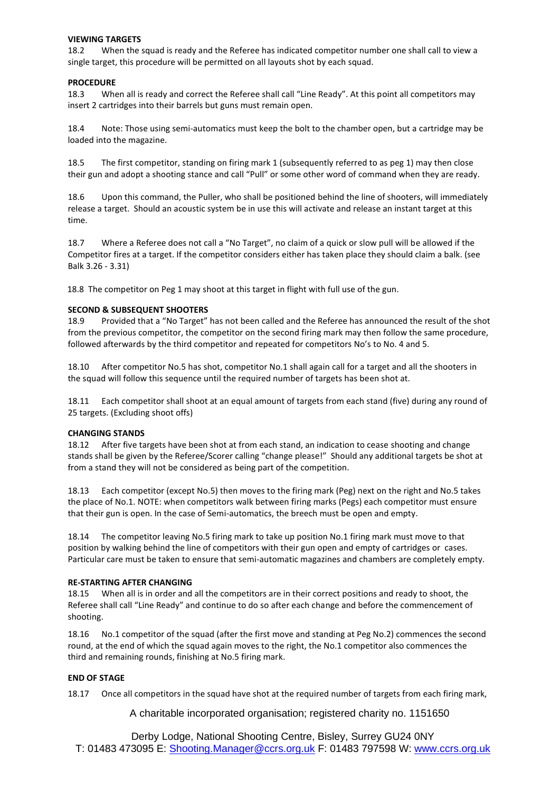#### **VIEWING TARGETS**

18.2 When the squad is ready and the Referee has indicated competitor number one shall call to view a single target, this procedure will be permitted on all layouts shot by each squad.

#### **PROCEDURE**

18.3 When all is ready and correct the Referee shall call "Line Ready". At this point all competitors may insert 2 cartridges into their barrels but guns must remain open.

18.4 Note: Those using semi-automatics must keep the bolt to the chamber open, but a cartridge may be loaded into the magazine.

18.5 The first competitor, standing on firing mark 1 (subsequently referred to as peg 1) may then close their gun and adopt a shooting stance and call "Pull" or some other word of command when they are ready.

18.6 Upon this command, the Puller, who shall be positioned behind the line of shooters, will immediately release a target. Should an acoustic system be in use this will activate and release an instant target at this time.

18.7 Where a Referee does not call a "No Target", no claim of a quick or slow pull will be allowed if the Competitor fires at a target. If the competitor considers either has taken place they should claim a balk. (see Balk 3.26 - 3.31)

18.8 The competitor on Peg 1 may shoot at this target in flight with full use of the gun.

#### **SECOND & SUBSEQUENT SHOOTERS**

18.9 Provided that a "No Target" has not been called and the Referee has announced the result of the shot from the previous competitor, the competitor on the second firing mark may then follow the same procedure, followed afterwards by the third competitor and repeated for competitors No's to No. 4 and 5.

18.10 After competitor No.5 has shot, competitor No.1 shall again call for a target and all the shooters in the squad will follow this sequence until the required number of targets has been shot at.

18.11 Each competitor shall shoot at an equal amount of targets from each stand (five) during any round of 25 targets. (Excluding shoot offs)

#### **CHANGING STANDS**

18.12 After five targets have been shot at from each stand, an indication to cease shooting and change stands shall be given by the Referee/Scorer calling "change please!" Should any additional targets be shot at from a stand they will not be considered as being part of the competition.

18.13 Each competitor (except No.5) then moves to the firing mark (Peg) next on the right and No.5 takes the place of No.1. NOTE: when competitors walk between firing marks (Pegs) each competitor must ensure that their gun is open. In the case of Semi-automatics, the breech must be open and empty.

18.14 The competitor leaving No.5 firing mark to take up position No.1 firing mark must move to that position by walking behind the line of competitors with their gun open and empty of cartridges or cases. Particular care must be taken to ensure that semi-automatic magazines and chambers are completely empty.

#### **RE-STARTING AFTER CHANGING**

18.15 When all is in order and all the competitors are in their correct positions and ready to shoot, the Referee shall call "Line Ready" and continue to do so after each change and before the commencement of shooting.

18.16 No.1 competitor of the squad (after the first move and standing at Peg No.2) commences the second round, at the end of which the squad again moves to the right, the No.1 competitor also commences the third and remaining rounds, finishing at No.5 firing mark.

#### **END OF STAGE**

18.17 Once all competitors in the squad have shot at the required number of targets from each firing mark,

A charitable incorporated organisation; registered charity no. 1151650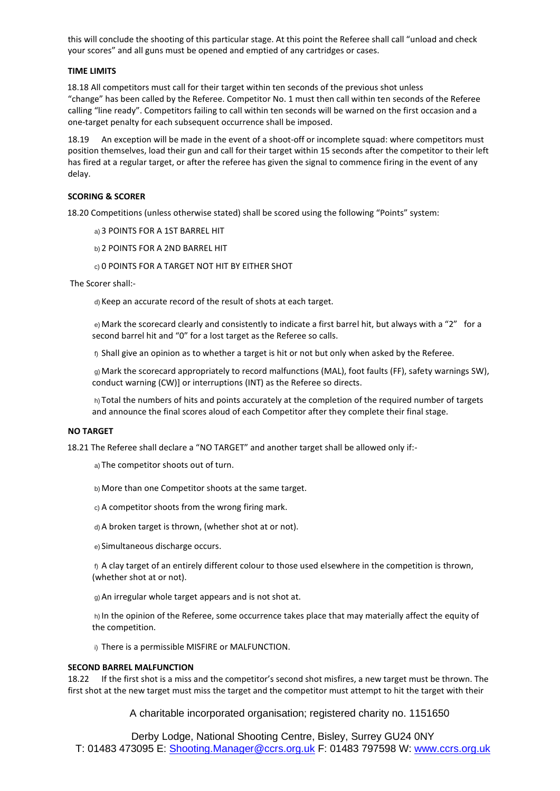this will conclude the shooting of this particular stage. At this point the Referee shall call "unload and check your scores" and all guns must be opened and emptied of any cartridges or cases.

#### **TIME LIMITS**

18.18 All competitors must call for their target within ten seconds of the previous shot unless "change" has been called by the Referee. Competitor No. 1 must then call within ten seconds of the Referee calling "line ready". Competitors failing to call within ten seconds will be warned on the first occasion and a one-target penalty for each subsequent occurrence shall be imposed.

18.19 An exception will be made in the event of a shoot-off or incomplete squad: where competitors must position themselves, load their gun and call for their target within 15 seconds after the competitor to their left has fired at a regular target, or after the referee has given the signal to commence firing in the event of any delay.

#### **SCORING & SCORER**

18.20 Competitions (unless otherwise stated) shall be scored using the following "Points" system:

a) 3 POINTS FOR A 1ST BARREL HIT

- b) 2 POINTS FOR A 2ND BARREL HIT
- c) 0 POINTS FOR A TARGET NOT HIT BY EITHER SHOT

The Scorer shall:-

d) Keep an accurate record of the result of shots at each target.

e) Mark the scorecard clearly and consistently to indicate a first barrel hit, but always with a "2" for a second barrel hit and "0" for a lost target as the Referee so calls.

f) Shall give an opinion as to whether a target is hit or not but only when asked by the Referee.

g) Mark the scorecard appropriately to record malfunctions (MAL), foot faults (FF), safety warnings SW), conduct warning (CW)] or interruptions (INT) as the Referee so directs.

h) Total the numbers of hits and points accurately at the completion of the required number of targets and announce the final scores aloud of each Competitor after they complete their final stage.

## **NO TARGET**

18.21 The Referee shall declare a "NO TARGET" and another target shall be allowed only if:-

- a) The competitor shoots out of turn.
- b) More than one Competitor shoots at the same target.
- c) A competitor shoots from the wrong firing mark.
- d) A broken target is thrown, (whether shot at or not).
- e) Simultaneous discharge occurs.

f) A clay target of an entirely different colour to those used elsewhere in the competition is thrown, (whether shot at or not).

g) An irregular whole target appears and is not shot at.

h) In the opinion of the Referee, some occurrence takes place that may materially affect the equity of the competition.

i) There is a permissible MISFIRE or MALFUNCTION.

#### **SECOND BARREL MALFUNCTION**

18.22 If the first shot is a miss and the competitor's second shot misfires, a new target must be thrown. The first shot at the new target must miss the target and the competitor must attempt to hit the target with their

A charitable incorporated organisation; registered charity no. 1151650